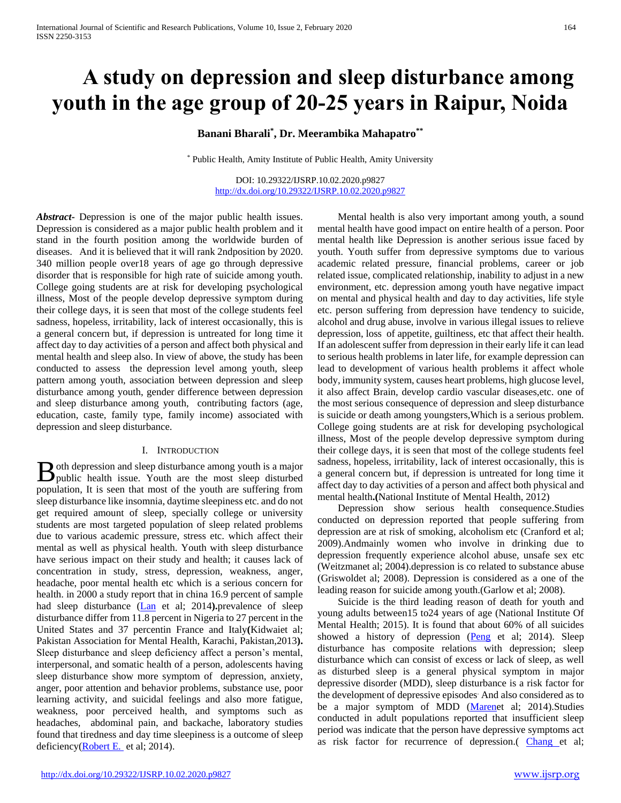# **A study on depression and sleep disturbance among youth in the age group of 20-25 years in Raipur, Noida**

**Banani Bharali\* , Dr. Meerambika Mahapatro\*\***

\* Public Health, Amity Institute of Public Health, Amity University

DOI: 10.29322/IJSRP.10.02.2020.p9827 <http://dx.doi.org/10.29322/IJSRP.10.02.2020.p9827>

*Abstract***-** Depression is one of the major public health issues. Depression is considered as a major public health problem and it stand in the fourth position among the worldwide burden of diseases. And it is believed that it will rank 2ndposition by 2020. 340 million people over18 years of age go through depressive disorder that is responsible for high rate of suicide among youth. College going students are at risk for developing psychological illness, Most of the people develop depressive symptom during their college days, it is seen that most of the college students feel sadness, hopeless, irritability, lack of interest occasionally, this is a general concern but, if depression is untreated for long time it affect day to day activities of a person and affect both physical and mental health and sleep also. In view of above, the study has been conducted to assess the depression level among youth, sleep pattern among youth, association between depression and sleep disturbance among youth, gender difference between depression and sleep disturbance among youth, contributing factors (age, education, caste, family type, family income) associated with depression and sleep disturbance.

#### I. INTRODUCTION

oth depression and sleep disturbance among youth is a major **B** oth depression and sleep disturbance among youth is a major public health issue. Youth are the most sleep disturbed population, It is seen that most of the youth are suffering from sleep disturbance like insomnia, daytime sleepiness etc. and do not get required amount of sleep, specially college or university students are most targeted population of sleep related problems due to various academic pressure, stress etc. which affect their mental as well as physical health. Youth with sleep disturbance have serious impact on their study and health; it causes lack of concentration in study, stress, depression, weakness, anger, headache, poor mental health etc which is a serious concern for health. in 2000 a study report that in china 16.9 percent of sample had sleep disturbance [\(Lan](http://www.ncbi.nlm.nih.gov/pubmed/?term=Guo%20L%5Bauth%5D) et al; 2014**).**prevalence of sleep disturbance differ from 11.8 percent in Nigeria to 27 percent in the United States and 37 percentin France and Italy**(**Kidwaiet al; Pakistan Association for Mental Health, Karachi, Pakistan,2013**).** Sleep disturbance and sleep deficiency affect a person's mental, interpersonal, and somatic health of a person, adolescents having sleep disturbance show more symptom of depression, anxiety, anger, poor attention and behavior problems, substance use, poor learning activity, and suicidal feelings and also more fatigue, weakness, poor perceived health, and symptoms such as headaches, abdominal pain, and backache, laboratory studies found that tiredness and day time sleepiness is a outcome of sleep deficiency[\(Robert E.](http://www.ncbi.nlm.nih.gov/pubmed/?term=Roberts%20RE%5Bauth%5D) et al; 2014).

 Mental health is also very important among youth, a sound mental health have good impact on entire health of a person. Poor mental health like Depression is another serious issue faced by youth. Youth suffer from depressive symptoms due to various academic related pressure, financial problems, career or job related issue, complicated relationship, inability to adjust in a new environment, etc. depression among youth have negative impact on mental and physical health and day to day activities, life style etc. person suffering from depression have tendency to suicide, alcohol and drug abuse, involve in various illegal issues to relieve depression, loss of appetite, guiltiness, etc that affect their health. If an adolescent suffer from depression in their early life it can lead to serious health problems in later life, for example depression can lead to development of various health problems it affect whole body, immunity system, causes heart problems, high glucose level, it also affect Brain, develop cardio vascular diseases,etc. one of the most serious consequence of depression and sleep disturbance is suicide or death among youngsters,Which is a serious problem. College going students are at risk for developing psychological illness, Most of the people develop depressive symptom during their college days, it is seen that most of the college students feel sadness, hopeless, irritability, lack of interest occasionally, this is a general concern but, if depression is untreated for long time it affect day to day activities of a person and affect both physical and mental health**.(**National Institute of Mental Health, 2012)

 Depression show serious health consequence.Studies conducted on depression reported that people suffering from depression are at risk of smoking, alcoholism etc (Cranford et al; 2009).Andmainly women who involve in drinking due to depression frequently experience alcohol abuse, unsafe sex etc (Weitzmanet al; 2004).depression is co related to substance abuse (Griswoldet al; 2008). Depression is considered as a one of the leading reason for suicide among youth.(Garlow et al; 2008).

 Suicide is the third leading reason of death for youth and young adults between15 to24 years of age (National Institute Of Mental Health; 2015). It is found that about 60% of all suicides showed a history of depression [\(Peng](http://www.ncbi.nlm.nih.gov/pubmed/?term=Peng%20H%5BAuthor%5D&cauthor=true&cauthor_uid=24882180) et al; 2014). Sleep disturbance has composite relations with depression; sleep disturbance which can consist of excess or lack of sleep, as well as disturbed sleep is a general physical symptom in major depressive disorder (MDD), sleep disturbance is a risk factor for the development of depressive episodes. And also considered as to be a major symptom of MDD [\(Marene](http://europepmc.org/search/?scope=fulltext&page=1&query=AUTH:%22Nyer%20M%22)t al; 2014).Studies conducted in adult populations reported that insufficient sleep period was indicate that the person have depressive symptoms act as risk factor for recurrence of depression.( [Chang e](http://www.ncbi.nlm.nih.gov/pubmed/?term=JJ%20C%5Bauth%5D)t al;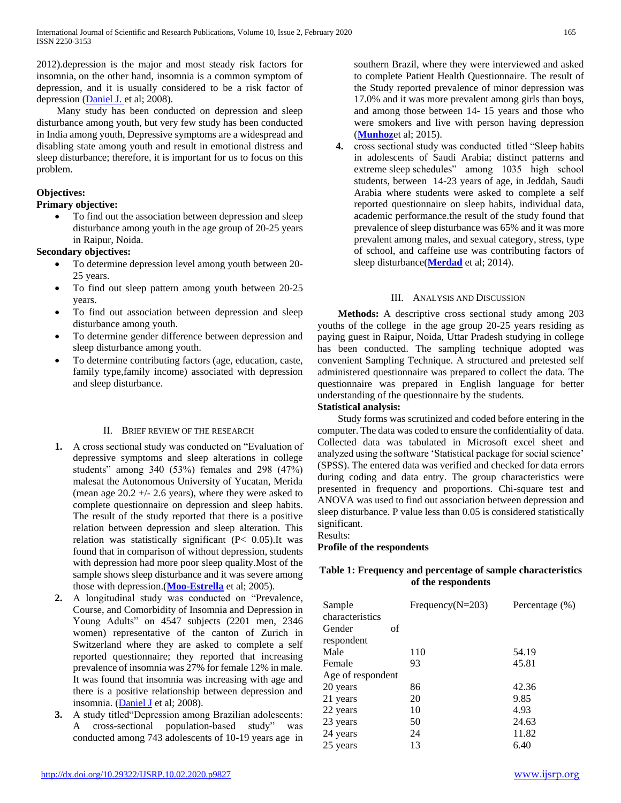2012).depression is the major and most steady risk factors for insomnia, on the other hand, insomnia is a common symptom of depression, and it is usually considered to be a risk factor of depression [\(Daniel J. e](http://www.ncbi.nlm.nih.gov/pubmed/?term=Buysse%20DJ%5Bauth%5D)t al; 2008).

 Many study has been conducted on depression and sleep disturbance among youth, but very few study has been conducted in India among youth, Depressive symptoms are a widespread and disabling state among youth and result in emotional distress and sleep disturbance; therefore, it is important for us to focus on this problem.

# **Objectives:**

# **Primary objective:**

• To find out the association between depression and sleep disturbance among youth in the age group of 20-25 years in Raipur, Noida.

# **Secondary objectives:**

- To determine depression level among youth between 20- 25 years.
- To find out sleep pattern among youth between 20-25 years.
- To find out association between depression and sleep disturbance among youth.
- To determine gender difference between depression and sleep disturbance among youth.
- To determine contributing factors (age, education, caste, family type,family income) associated with depression and sleep disturbance.

#### II. BRIEF REVIEW OF THE RESEARCH

- **1.** A cross sectional study was conducted on "Evaluation of depressive symptoms and sleep alterations in college students" among 340 (53%) females and 298 (47%) malesat the Autonomous University of Yucatan, Merida (mean age  $20.2 +1$  - 2.6 years), where they were asked to complete questionnaire on depression and sleep habits. The result of the study reported that there is a positive relation between depression and sleep alteration. This relation was statistically significant (P< 0.05).It was found that in comparison of without depression, students with depression had more poor sleep quality.Most of the sample shows sleep disturbance and it was severe among those with depression.(**[Moo-Estrella](http://www.ncbi.nlm.nih.gov/pubmed/?term=Moo-Estrella%20J%5BAuthor%5D&cauthor=true&cauthor_uid=15950081)** et al; 2005).
- **2.** A longitudinal study was conducted on "Prevalence, Course, and Comorbidity of Insomnia and Depression in Young Adults" on 4547 subjects (2201 men, 2346 women) representative of the canton of Zurich in Switzerland where they are asked to complete a self reported questionnaire; they reported that increasing prevalence of insomnia was 27% for female 12% in male. It was found that insomnia was increasing with age and there is a positive relationship between depression and insomnia. [\(Daniel J](http://www.ncbi.nlm.nih.gov/pubmed/?term=Buysse%20DJ%5Bauth%5D) et al; 2008).
- **3.** A study titled"Depression among Brazilian adolescents: A cross-sectional population-based study" was conducted among 743 adolescents of 10-19 years age in

southern Brazil, where they were interviewed and asked to complete Patient Health Questionnaire. The result of the Study reported prevalence of minor depression was 17.0% and it was more prevalent among girls than boys, and among those between 14- 15 years and those who were smokers and live with person having depression (**[Munhoz](http://www.ncbi.nlm.nih.gov/pubmed/?term=Munhoz%20TN%5BAuthor%5D&cauthor=true&cauthor_uid=25661392)**et al; 2015).

**4.** cross sectional study was conducted titled "Sleep habits in adolescents of Saudi Arabia; distinct patterns and extreme sleep schedules" among 1035 high school students, between 14-23 years of age, in Jeddah, Saudi Arabia where students were asked to complete a self reported questionnaire on sleep habits, individual data, academic performance.the result of the study found that prevalence of sleep disturbance was 65% and it was more prevalent among males, and sexual category, stress, type of school, and caffeine use was contributing factors of sleep disturbance(**[Merdad](http://www.ncbi.nlm.nih.gov/pubmed/?term=Merdad%20RA%5BAuthor%5D&cauthor=true&cauthor_uid=25260431)** et al; 2014).

#### III. ANALYSIS AND DISCUSSION

 **Methods:** A descriptive cross sectional study among 203 youths of the college in the age group 20-25 years residing as paying guest in Raipur, Noida, Uttar Pradesh studying in college has been conducted. The sampling technique adopted was convenient Sampling Technique. A structured and pretested self administered questionnaire was prepared to collect the data. The questionnaire was prepared in English language for better understanding of the questionnaire by the students.

# **Statistical analysis:**

 Study forms was scrutinized and coded before entering in the computer. The data was coded to ensure the confidentiality of data. Collected data was tabulated in Microsoft excel sheet and analyzed using the software 'Statistical package for social science' (SPSS). The entered data was verified and checked for data errors during coding and data entry. The group characteristics were presented in frequency and proportions. Chi-square test and ANOVA was used to find out association between depression and sleep disturbance. P value less than 0.05 is considered statistically significant.

Results:

#### **Profile of the respondents**

#### **Table 1: Frequency and percentage of sample characteristics of the respondents**

| Sample<br>characteristics | Frequency( $N=203$ ) | Percentage (%) |
|---------------------------|----------------------|----------------|
| Gender<br>respondent      | of                   |                |
| Male                      | 110                  | 54.19          |
| Female                    | 93                   | 45.81          |
| Age of respondent         |                      |                |
| 20 years                  | 86                   | 42.36          |
| 21 years                  | 20                   | 9.85           |
| 22 years                  | 10                   | 4.93           |
| 23 years                  | 50                   | 24.63          |
| 24 years                  | 24                   | 11.82          |
| 25 years                  | 13                   | 6.40           |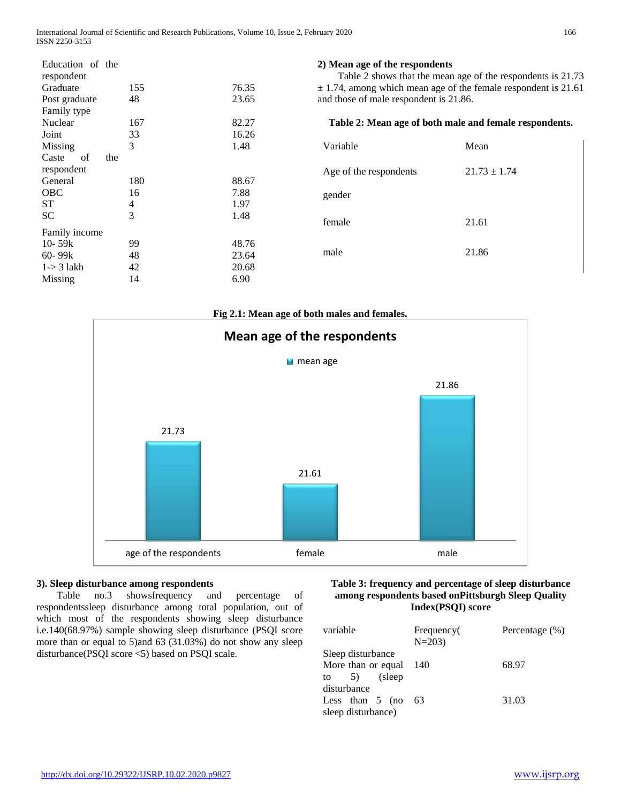| Education of the<br>respondent |     |       | 2) Mean age of the respondents                                     | Table 2 shows that the mean age of the respondents is 21.73 |  |
|--------------------------------|-----|-------|--------------------------------------------------------------------|-------------------------------------------------------------|--|
| Graduate                       | 155 | 76.35 | $\pm$ 1.74, among which mean age of the female respondent is 21.61 |                                                             |  |
| Post graduate                  | 48  | 23.65 | and those of male respondent is 21.86.                             |                                                             |  |
| Family type                    |     |       |                                                                    |                                                             |  |
| Nuclear                        | 167 | 82.27 |                                                                    | Table 2: Mean age of both male and female respondents.      |  |
| Joint                          | 33  | 16.26 |                                                                    |                                                             |  |
| Missing                        | 3   | 1.48  | Variable                                                           | Mean                                                        |  |
| of<br>Caste                    | the |       |                                                                    |                                                             |  |
| respondent                     |     |       | Age of the respondents                                             | $21.73 \pm 1.74$                                            |  |
| General                        | 180 | 88.67 |                                                                    |                                                             |  |
| <b>OBC</b>                     | 16  | 7.88  | gender                                                             |                                                             |  |
| ST                             | 4   | 1.97  |                                                                    |                                                             |  |
| SC.                            | 3   | 1.48  | female                                                             | 21.61                                                       |  |
| Family income                  |     |       |                                                                    |                                                             |  |
| 10- $59k$                      | 99  | 48.76 |                                                                    |                                                             |  |
| $60 - 99k$                     | 48  | 23.64 | male                                                               | 21.86                                                       |  |
| $1 - > 3$ lakh                 | 42  | 20.68 |                                                                    |                                                             |  |
| Missing                        | 14  | 6.90  |                                                                    |                                                             |  |



# **3). Sleep disturbance among respondents**

 Table no.3 showsfrequency and percentage of respondentssleep disturbance among total population, out of which most of the respondents showing sleep disturbance i.e.140(68.97%) sample showing sleep disturbance (PSQI score more than or equal to 5)and 63 (31.03%) do not show any sleep disturbance(PSQI score <5) based on PSQI scale.

#### **Table 3: frequency and percentage of sleep disturbance among respondents based onPittsburgh Sleep Quality Index(PSQI) score**

| variable           | Frequency(<br>$N = 203$ | Percentage $(\%)$ |
|--------------------|-------------------------|-------------------|
| Sleep disturbance  |                         |                   |
| More than or equal | - 140                   | 68.97             |
| to $5)$ (sleep     |                         |                   |
| disturbance        |                         |                   |
| Less than $5$ (no  | 63                      | 31.03             |
| sleep disturbance) |                         |                   |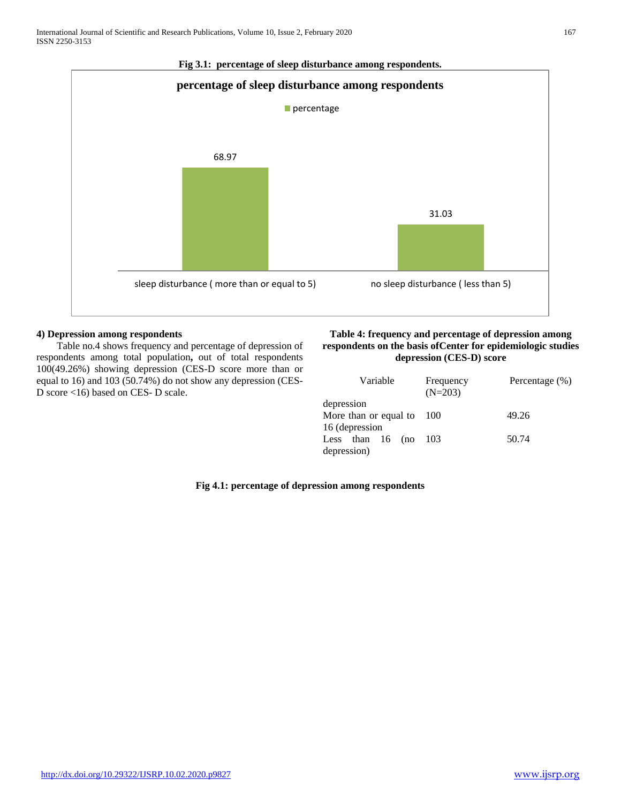

# **Fig 3.1: percentage of sleep disturbance among respondents.**

#### **4) Depression among respondents**

 Table no.4 shows frequency and percentage of depression of respondents among total population**,** out of total respondents 100(49.26%) showing depression (CES-D score more than or equal to 16) and 103 (50.74%) do not show any depression (CES-D score <16) based on CES- D scale.

# **Table 4: frequency and percentage of depression among respondents on the basis ofCenter for epidemiologic studies depression (CES-D) score**

| Variable              | Frequency<br>$(N=203)$ | Percentage $(\%)$ |
|-----------------------|------------------------|-------------------|
| depression            |                        |                   |
| More than or equal to | 100                    | 49.26             |
| 16 (depression        |                        |                   |
| Less than $16$ (no    | 103                    | 50.74             |
| depression)           |                        |                   |

#### **Fig 4.1: percentage of depression among respondents**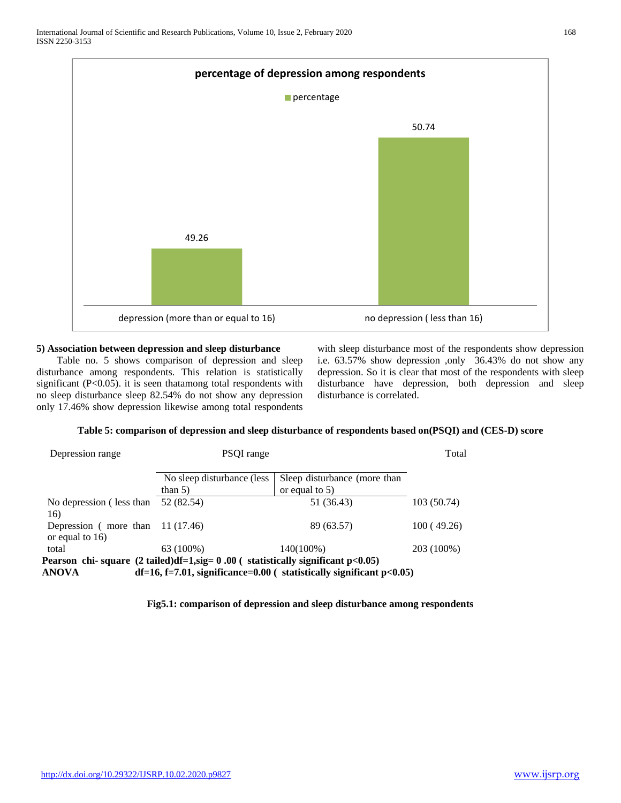

# **5) Association between depression and sleep disturbance**

 Table no. 5 shows comparison of depression and sleep disturbance among respondents. This relation is statistically significant (P<0.05). it is seen thatamong total respondents with no sleep disturbance sleep 82.54% do not show any depression only 17.46% show depression likewise among total respondents with sleep disturbance most of the respondents show depression i.e. 63.57% show depression ,only 36.43% do not show any depression. So it is clear that most of the respondents with sleep disturbance have depression, both depression and sleep disturbance is correlated.

# **Table 5: comparison of depression and sleep disturbance of respondents based on(PSQI) and (CES-D) score**

| Depression range                                          | PSQI range                                                                                  |                                                                         | Total       |
|-----------------------------------------------------------|---------------------------------------------------------------------------------------------|-------------------------------------------------------------------------|-------------|
|                                                           | No sleep disturbance (less                                                                  | Sleep disturbance (more than                                            |             |
|                                                           | than $5)$                                                                                   | or equal to $5$ )                                                       |             |
| No depression (less than<br>16)                           | 52 (82.54)                                                                                  | 51 (36.43)                                                              | 103 (50.74) |
| Depression (more than $11(17.46)$ )<br>or equal to $16$ ) |                                                                                             | 89 (63.57)                                                              | 100 (49.26) |
| total                                                     | 63 (100%)                                                                                   | 140(100%)                                                               | 203 (100%)  |
|                                                           | Pearson chi-square $(2 \text{ tailed})df=1$ , sig = 0.00 (statistically significant p<0.05) |                                                                         |             |
| <b>ANOVA</b>                                              |                                                                                             | $df=16$ , f=7.01, significance=0.00 ( statistically significant p<0.05) |             |

**Fig5.1: comparison of depression and sleep disturbance among respondents**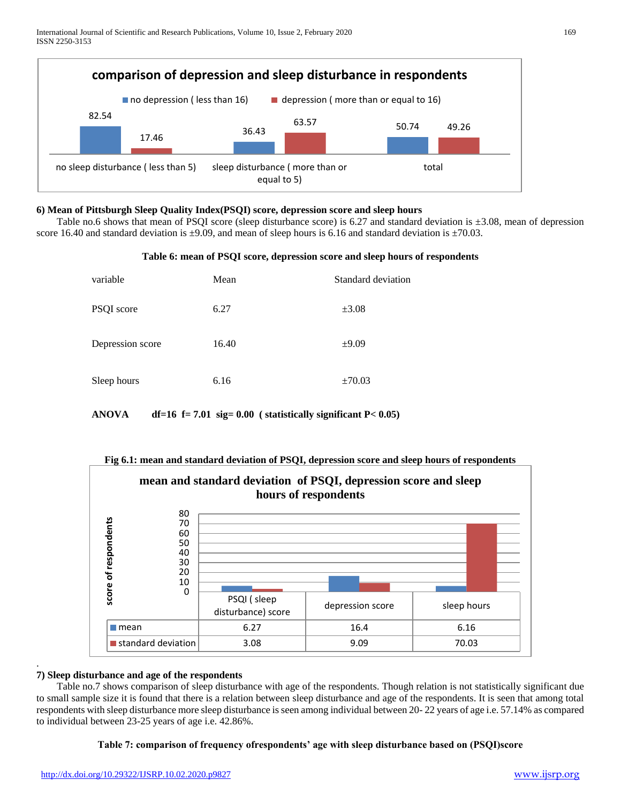

#### **6) Mean of Pittsburgh Sleep Quality Index(PSQI) score, depression score and sleep hours**

Table no.6 shows that mean of PSQI score (sleep disturbance score) is 6.27 and standard deviation is  $\pm 3.08$ , mean of depression score 16.40 and standard deviation is  $\pm$ 9.09, and mean of sleep hours is 6.16 and standard deviation is  $\pm$ 70.03.

#### **Table 6: mean of PSQI score, depression score and sleep hours of respondents**

| variable         | Mean  | Standard deviation |
|------------------|-------|--------------------|
| PSQI score       | 6.27  | $\pm 3.08$         |
| Depression score | 16.40 | $\pm 9.09$         |
| Sleep hours      | 6.16  | $\pm 70.03$        |

**ANOVA df=16 f= 7.01 sig= 0.00 ( statistically significant P< 0.05)**



#### **Fig 6.1: mean and standard deviation of PSQI, depression score and sleep hours of respondents**

#### **7) Sleep disturbance and age of the respondents**

.

 Table no.7 shows comparison of sleep disturbance with age of the respondents. Though relation is not statistically significant due to small sample size it is found that there is a relation between sleep disturbance and age of the respondents. It is seen that among total respondents with sleep disturbance more sleep disturbance is seen among individual between 20- 22 years of age i.e. 57.14% as compared to individual between 23-25 years of age i.e. 42.86%.

#### **Table 7: comparison of frequency ofrespondents' age with sleep disturbance based on (PSQI)score**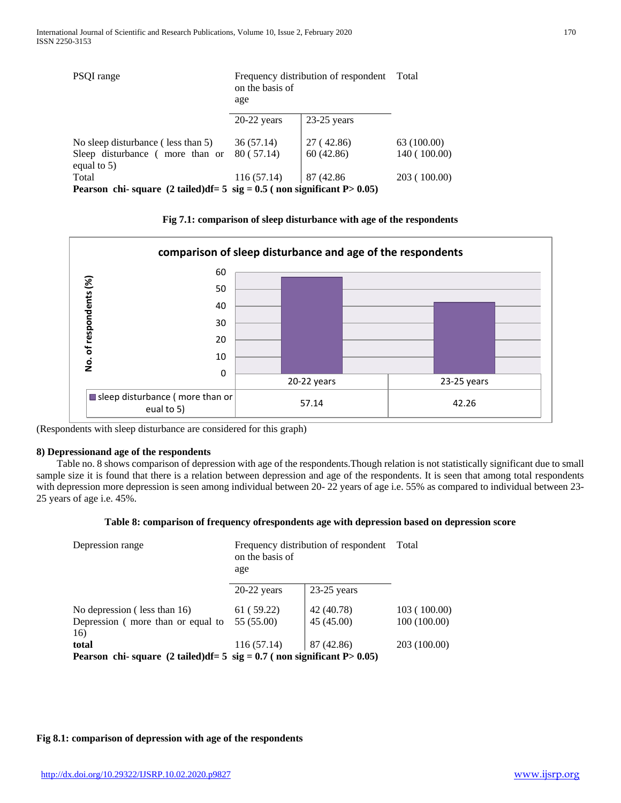| PSQI range                                                                                    | on the basis of<br>age | Frequency distribution of respondent Total |              |
|-----------------------------------------------------------------------------------------------|------------------------|--------------------------------------------|--------------|
|                                                                                               | $20-22$ years          | $23-25$ years                              |              |
| No sleep disturbance (less than 5)                                                            | 36(57.14)              | 27 (42.86)                                 | 63 (100.00)  |
| Sleep disturbance (more than or<br>equal to $5$ )                                             | 80(57.14)              | 60(42.86)                                  | 140 (100.00) |
| Total                                                                                         | 116(57.14)             | 87 (42.86)                                 | 203 (100.00) |
| Pearson chi-square $(2 \text{ tailed})df = 5 \text{ sig} = 0.5$ (non significant P $> 0.05$ ) |                        |                                            |              |

**Fig 7.1: comparison of sleep disturbance with age of the respondents**



(Respondents with sleep disturbance are considered for this graph)

#### **8) Depressionand age of the respondents**

 Table no. 8 shows comparison of depression with age of the respondents.Though relation is not statistically significant due to small sample size it is found that there is a relation between depression and age of the respondents. It is seen that among total respondents with depression more depression is seen among individual between 20- 22 years of age i.e. 55% as compared to individual between 23-25 years of age i.e. 45%.

#### **Table 8: comparison of frequency ofrespondents age with depression based on depression score**

| Depression range                                                                              | Frequency distribution of respondent<br>on the basis of<br>age |               | Total        |
|-----------------------------------------------------------------------------------------------|----------------------------------------------------------------|---------------|--------------|
|                                                                                               | $20-22$ years                                                  | $23-25$ years |              |
| No depression (less than 16)                                                                  | 61 (59.22)                                                     | 42 (40.78)    | 103(100.00)  |
| Depression (more than or equal to                                                             | 55 (55.00)                                                     | 45 (45.00)    | 100(100.00)  |
| 16)                                                                                           |                                                                |               |              |
| total                                                                                         | 116(57.14)                                                     | 87 (42.86)    | 203 (100.00) |
| Pearson chi-square $(2 \text{ tailed})df = 5 \text{ sig} = 0.7$ (non significant P $> 0.05$ ) |                                                                |               |              |

#### **Fig 8.1: comparison of depression with age of the respondents**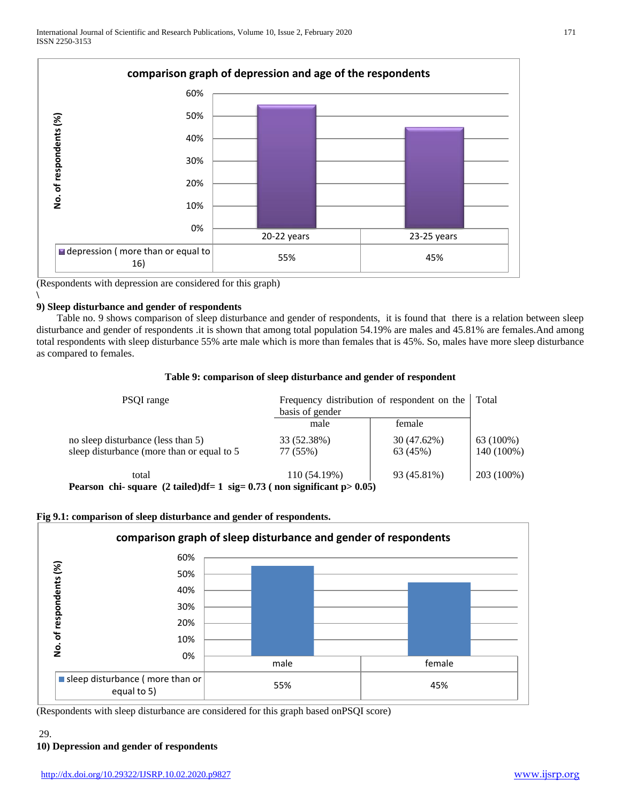

(Respondents with depression are considered for this graph)

#### **\ 9) Sleep disturbance and gender of respondents**

 Table no. 9 shows comparison of sleep disturbance and gender of respondents, it is found that there is a relation between sleep disturbance and gender of respondents .it is shown that among total population 54.19% are males and 45.81% are females.And among total respondents with sleep disturbance 55% arte male which is more than females that is 45%. So, males have more sleep disturbance as compared to females.

#### **Table 9: comparison of sleep disturbance and gender of respondent**

| PSQI range                                                                                | basis of gender | Frequency distribution of respondent on the | Total      |
|-------------------------------------------------------------------------------------------|-----------------|---------------------------------------------|------------|
|                                                                                           | male            | female                                      |            |
| no sleep disturbance (less than 5)                                                        | 33 (52.38%)     | 30 (47.62%)                                 | 63 (100%)  |
| sleep disturbance (more than or equal to 5                                                | 77 (55%)        | 63 (45%)                                    | 140 (100%) |
| total                                                                                     | 110 (54.19%)    | 93 (45.81%)                                 | 203 (100%) |
| Pearson, chi. square $(2 \tanh d) df - 1 \cdot sig - 0.73$ ( non significant $n > 0.05$ ) |                 |                                             |            |

**Pearson chi- square (2 tailed)df= 1 sig= 0.73 ( non significant p> 0.05)**



# **Fig 9.1: comparison of sleep disturbance and gender of respondents.**

(Respondents with sleep disturbance are considered for this graph based onPSQI score)

# 29.

# **10) Depression and gender of respondents**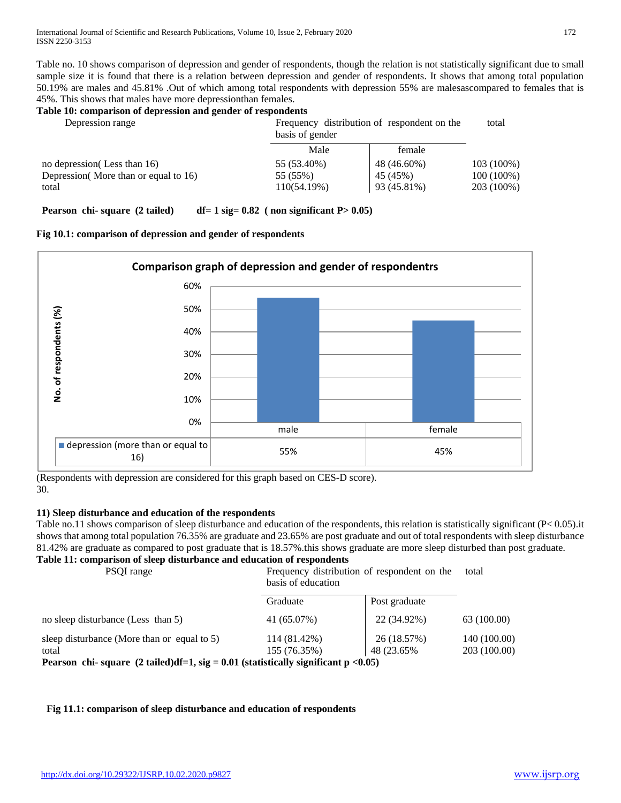Table no. 10 shows comparison of depression and gender of respondents, though the relation is not statistically significant due to small sample size it is found that there is a relation between depression and gender of respondents. It shows that among total population 50.19% are males and 45.81% .Out of which among total respondents with depression 55% are malesascompared to females that is 45%. This shows that males have more depressionthan females.

# **Table 10: comparison of depression and gender of respondents**

| Depression range                     | basis of gender | Frequency distribution of respondent on the | total        |  |
|--------------------------------------|-----------------|---------------------------------------------|--------------|--|
|                                      | Male            | female                                      |              |  |
| no depression (Less than 16)         | 55 (53.40%)     | 48 (46.60%)                                 | $103(100\%)$ |  |
| Depression More than or equal to 16) | 55 (55%)        | 45 (45%)                                    | $100(100\%)$ |  |
| total                                | 110(54.19%)     | 93 (45.81%)                                 | 203 (100%)   |  |

**Pearson chi- square** (2 tailed) df= 1 sig= 0.82 ( non significant P> 0.05)





(Respondents with depression are considered for this graph based on CES-D score). 30.

# **11) Sleep disturbance and education of the respondents**

Table no.11 shows comparison of sleep disturbance and education of the respondents, this relation is statistically significant (P< 0.05).it shows that among total population 76.35% are graduate and 23.65% are post graduate and out of total respondents with sleep disturbance 81.42% are graduate as compared to post graduate that is 18.57%.this shows graduate are more sleep disturbed than post graduate. **Table 11: comparison of sleep disturbance and education of respondents**

| Table 11: comparison of sleep disturbance and education of respondents<br>PSOI range          | basis of education           | Frequency distribution of respondent on the | total                        |  |
|-----------------------------------------------------------------------------------------------|------------------------------|---------------------------------------------|------------------------------|--|
|                                                                                               | Graduate                     | Post graduate                               |                              |  |
| no sleep disturbance (Less than 5)                                                            | 41 (65.07%)                  | 22 (34.92%)                                 | 63 (100.00)                  |  |
| sleep disturbance (More than or equal to 5)<br>total                                          | 114 (81.42%)<br>155 (76.35%) | 26 (18.57%)<br>48 (23.65%)                  | 140 (100.00)<br>203 (100.00) |  |
| Pearson chi-square $(2 \text{ tailed})df=1$ , sig = 0.01 (statistically significant p < 0.05) |                              |                                             |                              |  |

# **Fig 11.1: comparison of sleep disturbance and education of respondents**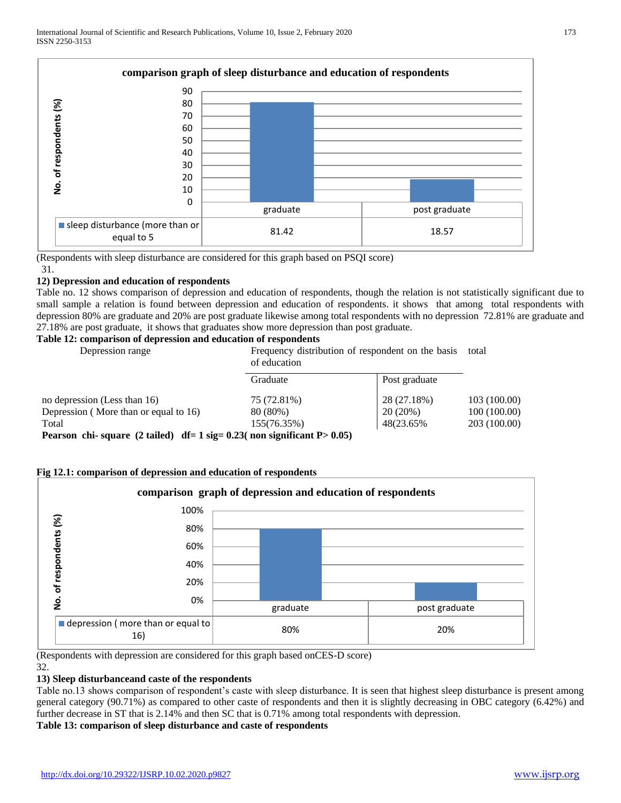

(Respondents with sleep disturbance are considered for this graph based on PSQI score) 31.

#### **12) Depression and education of respondents**

Table no. 12 shows comparison of depression and education of respondents, though the relation is not statistically significant due to small sample a relation is found between depression and education of respondents. it shows that among total respondents with depression 80% are graduate and 20% are post graduate likewise among total respondents with no depression 72.81% are graduate and 27.18% are post graduate, it shows that graduates show more depression than post graduate.

#### **Table 12: comparison of depression and education of respondents**

| Depression range                                                                | of education | Frequency distribution of respondent on the basis | total        |  |
|---------------------------------------------------------------------------------|--------------|---------------------------------------------------|--------------|--|
|                                                                                 | Graduate     | Post graduate                                     |              |  |
| no depression (Less than 16)                                                    | 75 (72.81%)  | 28 (27.18%)                                       | 103 (100.00) |  |
| Depression (More than or equal to 16)                                           | 80 (80%)     | 20(20%)                                           | 100 (100.00) |  |
| Total                                                                           | 155(76.35%)  | 48(23.65%)                                        | 203 (100.00) |  |
| Degreen obj savore (2 toiled) $df = 1$ sig 0.22( non-significant $D \le 0.05$ ) |              |                                                   |              |  |

**Pearson chi- square (2 tailed) df= 1 sig= 0.23( non significant P> 0.05)**

# **Fig 12.1: comparison of depression and education of respondents**



(Respondents with depression are considered for this graph based onCES-D score) 32.

# **13) Sleep disturbanceand caste of the respondents**

Table no.13 shows comparison of respondent's caste with sleep disturbance. It is seen that highest sleep disturbance is present among general category (90.71%) as compared to other caste of respondents and then it is slightly decreasing in OBC category (6.42%) and further decrease in ST that is 2.14% and then SC that is 0.71% among total respondents with depression.

# **Table 13: comparison of sleep disturbance and caste of respondents**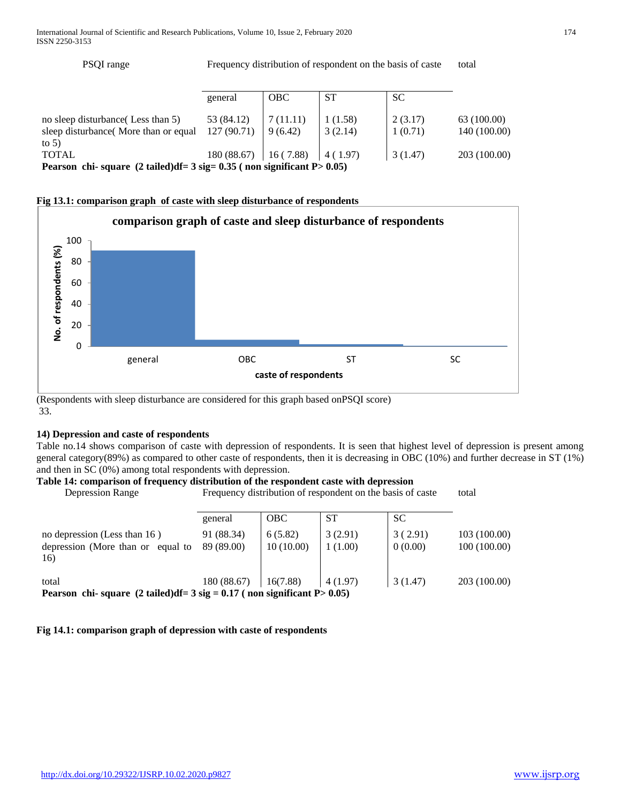PSQI range Frequency distribution of respondent on the basis of caste total

|                                                                                                                  | general                  | <b>OBC</b>           | <b>ST</b>          | <b>SC</b>          |                             |
|------------------------------------------------------------------------------------------------------------------|--------------------------|----------------------|--------------------|--------------------|-----------------------------|
| no sleep disturbance (Less than 5)<br>sleep disturbance (More than or equal<br>to $5)$                           | 53 (84.12)<br>127(90.71) | 7 (11.11)<br>9(6.42) | 1(1.58)<br>3(2.14) | 2(3.17)<br>1(0.71) | 63 (100.00)<br>140 (100.00) |
| <b>TOTAL</b><br>Pearson chi-square $(2 \text{ tailed})$ df= $3 \text{ sig} = 0.35$ (non significant P $> 0.05$ ) | $180(88.67)$   16 (7.88) |                      | 4 (1.97)           | 3 (1.47)           | 203 (100.00)                |

#### **Fig 13.1: comparison graph of caste with sleep disturbance of respondents**



(Respondents with sleep disturbance are considered for this graph based onPSQI score) 33.

#### **14) Depression and caste of respondents**

Table no.14 shows comparison of caste with depression of respondents. It is seen that highest level of depression is present among general category(89%) as compared to other caste of respondents, then it is decreasing in OBC (10%) and further decrease in ST (1%) and then in SC (0%) among total respondents with depression.

#### **Table 14: comparison of frequency distribution of the respondent caste with depression**

Depression Range Frequency distribution of respondent on the basis of caste total

|                                                                                     | general     | <b>OBC</b> | <b>ST</b> | <b>SC</b> |              |
|-------------------------------------------------------------------------------------|-------------|------------|-----------|-----------|--------------|
| no depression (Less than 16)                                                        | 91 (88.34)  | 6(5.82)    | 3(2.91)   | 3(2.91)   | 103 (100.00) |
| depression (More than or equal to<br>16)                                            | 89 (89.00)  | 10(10.00)  | 1(1.00)   | 0(0.00)   | 100(100.00)  |
| total                                                                               | 180 (88.67) | 16(7.88)   | 4 (1.97)  | 3(1.47)   | 203 (100.00) |
| Pearson chi-square $(2 \text{ tailed})df = 3 sig = 0.17$ (non significant P > 0.05) |             |            |           |           |              |

#### **Fig 14.1: comparison graph of depression with caste of respondents**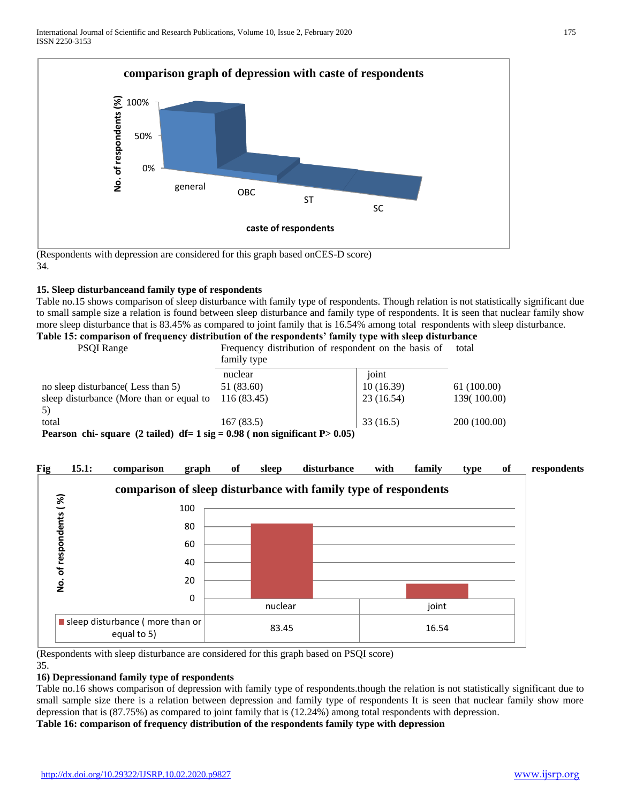

(Respondents with depression are considered for this graph based onCES-D score) 34.

# **15. Sleep disturbanceand family type of respondents**

Table no.15 shows comparison of sleep disturbance with family type of respondents. Though relation is not statistically significant due to small sample size a relation is found between sleep disturbance and family type of respondents. It is seen that nuclear family show more sleep disturbance that is 83.45% as compared to joint family that is 16.54% among total respondents with sleep disturbance. **Table 15: comparison of frequency distribution of the respondents' family type with sleep disturbance**

| abie 15. Comparison of frequency ulstribution of the respondents -family type with sleep ulsturbance |                                                            |  |  |
|------------------------------------------------------------------------------------------------------|------------------------------------------------------------|--|--|
| <b>PSQI</b> Range                                                                                    | Frequency distribution of respondent on the basis of total |  |  |

|                                                                              | family type |           |              |  |  |
|------------------------------------------------------------------------------|-------------|-----------|--------------|--|--|
|                                                                              | nuclear     | joint     |              |  |  |
| no sleep disturbance (Less than 5)                                           | 51 (83.60)  | 10(16.39) | 61(100.00)   |  |  |
| sleep disturbance (More than or equal to                                     | 116 (83.45) | 23(16.54) | 139(100.00)  |  |  |
|                                                                              |             |           |              |  |  |
| total                                                                        | 167(83.5)   | 33(16.5)  | 200 (100.00) |  |  |
| Pearson chi-square (2 tailed) $df = 1 sig = 0.98$ (non significant P > 0.05) |             |           |              |  |  |



(Respondents with sleep disturbance are considered for this graph based on PSQI score)

#### 35. **16) Depressionand family type of respondents**

Table no.16 shows comparison of depression with family type of respondents.though the relation is not statistically significant due to small sample size there is a relation between depression and family type of respondents It is seen that nuclear family show more depression that is (87.75%) as compared to joint family that is (12.24%) among total respondents with depression.

**Table 16: comparison of frequency distribution of the respondents family type with depression**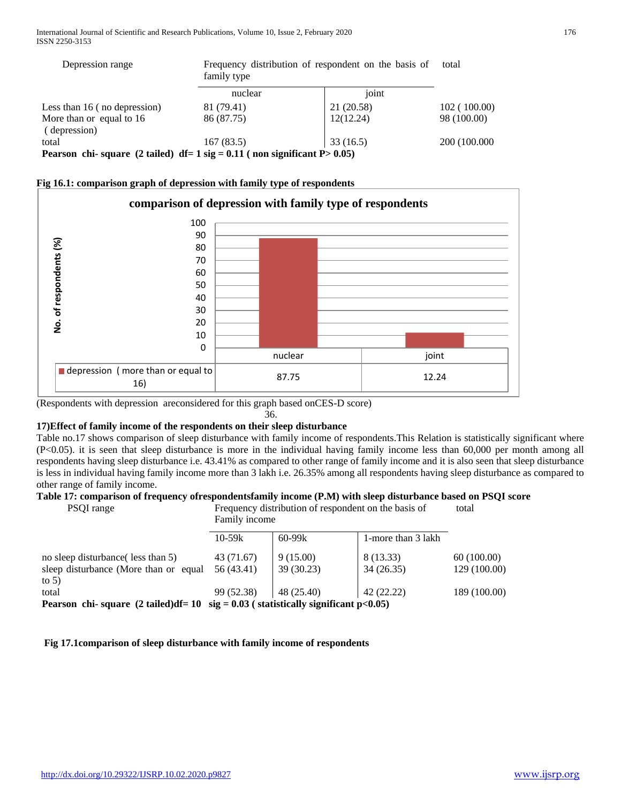| Depression range                                                             | family type | Frequency distribution of respondent on the basis of |               |  |
|------------------------------------------------------------------------------|-------------|------------------------------------------------------|---------------|--|
|                                                                              | nuclear     | joint                                                |               |  |
| Less than 16 (no depression)                                                 | 81 (79.41)  | 21 (20.58)                                           | 102(100.00)   |  |
| More than or equal to 16                                                     | 86 (87.75)  | 12(12.24)                                            | 98 (100.00)   |  |
| (depression)                                                                 |             |                                                      |               |  |
| total                                                                        | 167(83.5)   | 33(16.5)                                             | 200 (100.000) |  |
| Pearson chi-square (2 tailed) $df = 1 sig = 0.11$ (non significant P > 0.05) |             |                                                      |               |  |

| Fig 16.1: comparison graph of depression with family type of respondents |
|--------------------------------------------------------------------------|
|--------------------------------------------------------------------------|



(Respondents with depression areconsidered for this graph based onCES-D score)

#### 36.

# **17)Effect of family income of the respondents on their sleep disturbance**

Table no.17 shows comparison of sleep disturbance with family income of respondents.This Relation is statistically significant where (P<0.05). it is seen that sleep disturbance is more in the individual having family income less than 60,000 per month among all respondents having sleep disturbance i.e. 43.41% as compared to other range of family income and it is also seen that sleep disturbance is less in individual having family income more than 3 lakh i.e. 26.35% among all respondents having sleep disturbance as compared to other range of family income.

# **Table 17: comparison of frequency ofrespondentsfamily income (P.M) with sleep disturbance based on PSQI score**

| PSQI range                                                                            | Frequency distribution of respondent on the basis of<br>Family income |                        |                        | total                      |
|---------------------------------------------------------------------------------------|-----------------------------------------------------------------------|------------------------|------------------------|----------------------------|
|                                                                                       | $10 - 59k$                                                            | $60 - 99k$             | 1-more than 3 lakh     |                            |
| no sleep disturbance (less than 5)<br>sleep disturbance (More than or equal           | 43 (71.67)<br>56 (43.41)                                              | 9(15.00)<br>39 (30.23) | 8 (13.33)<br>34(26.35) | 60(100.00)<br>129 (100.00) |
| to $5)$<br>total                                                                      | 99 (52.38)                                                            | 48 (25.40)             | 42 (22.22)             | 189 (100.00)               |
| Pearson chi-square (2 tailed)df= $10$ sig = $0.03$ (statistically significant p<0.05) |                                                                       |                        |                        |                            |

# **Fig 17.1comparison of sleep disturbance with family income of respondents**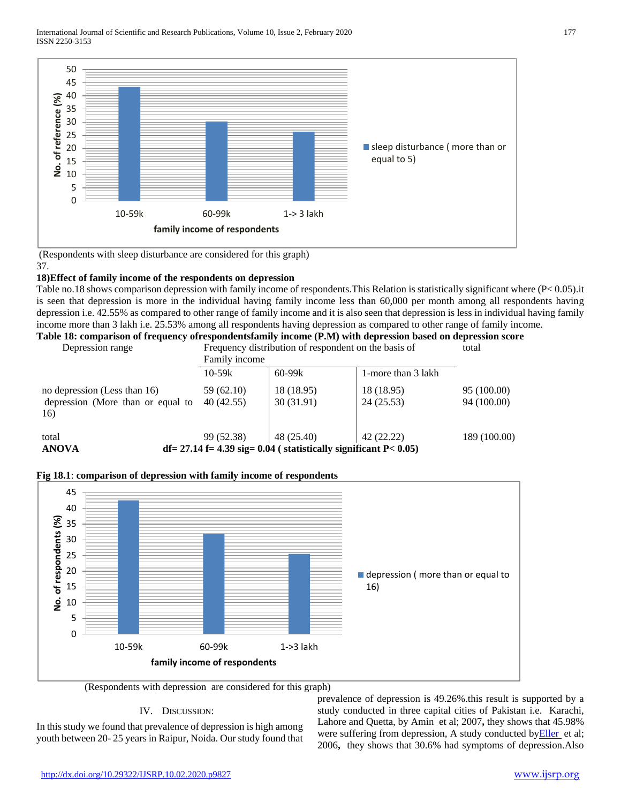

(Respondents with sleep disturbance are considered for this graph) 37.

#### **18)Effect of family income of the respondents on depression**

Table no.18 shows comparison depression with family income of respondents.This Relation is statistically significant where (P< 0.05).it is seen that depression is more in the individual having family income less than 60,000 per month among all respondents having depression i.e. 42.55% as compared to other range of family income and it is also seen that depression is less in individual having family income more than 3 lakh i.e. 25.53% among all respondents having depression as compared to other range of family income.

**Table 18: comparison of frequency ofrespondentsfamily income (P.M) with depression based on depression score**

Depression range Frequency distribution of respondent on the basis of

|                                                                          | Family income            |                                                                                    |                         |                            |
|--------------------------------------------------------------------------|--------------------------|------------------------------------------------------------------------------------|-------------------------|----------------------------|
|                                                                          | $10 - 59k$               | $60 - 99k$                                                                         | 1-more than 3 lakh      |                            |
| no depression (Less than 16)<br>depression (More than or equal to<br>16) | 59 (62.10)<br>40 (42.55) | 18 (18.95)<br>30(31.91)                                                            | 18 (18.95)<br>24(25.53) | 95 (100.00)<br>94 (100.00) |
| total<br><b>ANOVA</b>                                                    | 99 (52.38)               | 48 (25.40)<br>$df = 27.14 f = 4.39 sig = 0.04$ (statistically significant P< 0.05) | 42 (22.22)              | 189 (100.00)               |

# **Fig 18.1**: **comparison of depression with family income of respondents**



(Respondents with depression are considered for this graph)

# IV. DISCUSSION:

In this study we found that prevalence of depression is high among youth between 20- 25 years in Raipur, Noida. Our study found that prevalence of depression is 49.26%.this result is supported by a study conducted in three capital cities of Pakistan i.e. Karachi, Lahore and Quetta, by Amin et al; 2007**,** they shows that 45.98% were suffering from depression, A study conducted by Eller et al; 2006**,** they shows that 30.6% had symptoms of depression.Also

total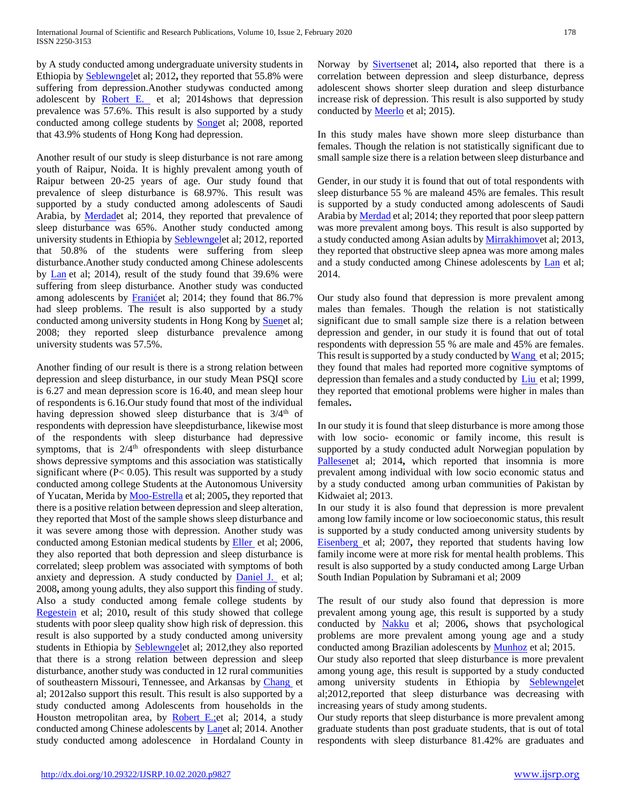by A study conducted among undergraduate university students in Ethiopia b[y Seblewngele](http://www.ncbi.nlm.nih.gov/pubmed/?term=Lemma%20S%5Bauth%5D)t al; 2012**,** they reported that 55.8% were suffering from depression.Another studywas conducted among adolescent by [Robert E.](http://www.ncbi.nlm.nih.gov/pubmed/?term=Roberts%20RE%5Bauth%5D) et al; 2014shows that depression prevalence was 57.6%. This result is also supported by a study conducted among college students by [Songe](http://www.ncbi.nlm.nih.gov/pubmed/?term=Song%20Y%5BAuthor%5D&cauthor=true&cauthor_uid=18702936)t al; 2008, reported that 43.9% students of Hong Kong had depression.

Another result of our study is sleep disturbance is not rare among youth of Raipur, Noida. It is highly prevalent among youth of Raipur between 20-25 years of age. Our study found that prevalence of sleep disturbance is 68.97%. This result was supported by a study conducted among adolescents of Saudi Arabia, by **Merdad**et al; 2014, they reported that prevalence of sleep disturbance was 65%. Another study conducted among university students in Ethiopia by [Seblewngele](http://www.ncbi.nlm.nih.gov/pubmed/?term=Lemma%20S%5Bauth%5D)t al; 2012, reported that 50.8% of the students were suffering from sleep disturbance.Another study conducted among Chinese adolescents by [Lan](http://www.ncbi.nlm.nih.gov/pubmed/?term=Guo%20L%5Bauth%5D) et al; 2014), result of the study found that 39.6% were suffering from sleep disturbance. Another study was conducted among adolescents by [Franiće](http://www.ncbi.nlm.nih.gov/pubmed/?term=Frani%C4%87%20T%5BAuthor%5D&cauthor=true&cauthor_uid=23445244)t al; 2014; they found that 86.7% had sleep problems. The result is also supported by a study conducted among university students in Hong Kong by [Suene](http://www.ncbi.nlm.nih.gov/pubmed/?term=Suen%20LK%5BAuthor%5D&cauthor=true&cauthor_uid=18780202)t al; 2008; they reported sleep disturbance prevalence among university students was 57.5%.

Another finding of our result is there is a strong relation between depression and sleep disturbance, in our study Mean PSQI score is 6.27 and mean depression score is 16.40, and mean sleep hour of respondents is 6.16.Our study found that most of the individual having depression showed sleep disturbance that is  $3/4<sup>th</sup>$  of respondents with depression have sleepdisturbance, likewise most of the respondents with sleep disturbance had depressive symptoms, that is  $2/4<sup>th</sup>$  ofrespondents with sleep disturbance shows depressive symptoms and this association was statistically significant where (P< 0.05). This result was supported by a study conducted among college Students at the Autonomous University of Yucatan, Merida b[y Moo-Estrella](http://www.ncbi.nlm.nih.gov/pubmed/?term=Moo-Estrella%20J%5BAuthor%5D&cauthor=true&cauthor_uid=15950081) et al; 2005**,** they reported that there is a positive relation between depression and sleep alteration, they reported that Most of the sample shows sleep disturbance and it was severe among those with depression. Another study was conducted among Estonian medical students by [Eller e](http://www.ncbi.nlm.nih.gov/pubmed/?term=Eller%20T%5BAuthor%5D&cauthor=true&cauthor_uid=16555263)t al; 2006, they also reported that both depression and sleep disturbance is correlated; sleep problem was associated with symptoms of both anxiety and depression. A study conducted by [Daniel J.](http://www.ncbi.nlm.nih.gov/pubmed/?term=Buysse%20DJ%5Bauth%5D) et al; 2008**,** among young adults, they also support this finding of study. Also a study conducted among female college students by [Regestein](http://www.ncbi.nlm.nih.gov/pubmed/?term=Regestein%20Q%5BAuthor%5D&cauthor=true&cauthor_uid=20079935) et al; 2010**,** result of this study showed that college students with poor sleep quality show high risk of depression. this result is also supported by a study conducted among university students in Ethiopia by [Seblewngele](http://www.ncbi.nlm.nih.gov/pubmed/?term=Lemma%20S%5Bauth%5D)t al; 2012,they also reported that there is a strong relation between depression and sleep disturbance, another study was conducted in 12 rural communities of southeastern Missouri, Tennessee, and Arkansas by [Chang](http://www.ncbi.nlm.nih.gov/pubmed/?term=JJ%20C%5Bauth%5D) et al; 2012also support this result. This result is also supported by a study conducted among Adolescents from households in the Houston metropolitan area, by [Robert E.;e](http://www.ncbi.nlm.nih.gov/pubmed/?term=Roberts%20RE%5Bauth%5D)t al; 2014, a study conducted among Chinese adolescents by [Lane](http://www.ncbi.nlm.nih.gov/pubmed/?term=Guo%20L%5Bauth%5D)t al; 2014. Another study conducted among adolescence in Hordaland County in Norway by [Sivertsene](http://www.ncbi.nlm.nih.gov/pubmed/?term=Sivertsen%20B%5BAuthor%5D&cauthor=true&cauthor_uid=24292341)t al; 2014**,** also reported that there is a correlation between depression and sleep disturbance, depress adolescent shows shorter sleep duration and sleep disturbance increase risk of depression. This result is also supported by study conducted by **Meerlo** et al; 2015).

In this study males have shown more sleep disturbance than females. Though the relation is not statistically significant due to small sample size there is a relation between sleep disturbance and

Gender, in our study it is found that out of total respondents with sleep disturbance 55 % are maleand 45% are females. This result is supported by a study conducted among adolescents of Saudi Arabia by **Merdad** et al; 2014; they reported that poor sleep pattern was more prevalent among boys. This result is also supported by a study conducted among Asian adults b[y Mirrakhimove](http://www.ncbi.nlm.nih.gov/pubmed/?term=Mirrakhimov%20AE%5BAuthor%5D&cauthor=true&cauthor_uid=23433391)t al; 2013, they reported that obstructive sleep apnea was more among males and a study conducted among Chinese adolescents by [Lan](http://www.ncbi.nlm.nih.gov/pubmed/?term=Guo%20L%5Bauth%5D) et al; 2014.

Our study also found that depression is more prevalent among males than females. Though the relation is not statistically significant due to small sample size there is a relation between depression and gender, in our study it is found that out of total respondents with depression 55 % are male and 45% are females. This result is supported by a study conducted b[y Wang](http://www.ncbi.nlm.nih.gov/pubmed/?term=Wang%20YP%5BAuthor%5D&cauthor=true&cauthor_uid=25699670) et al; 2015; they found that males had reported more cognitive symptoms of depression than females and a study conducted by [Liu](http://www.ncbi.nlm.nih.gov/pubmed/?term=Liu%20X%5BAuthor%5D&cauthor=true&cauthor_uid=10361789) et al; 1999, they reported that emotional problems were higher in males than females**.**

In our study it is found that sleep disturbance is more among those with low socio- economic or family income, this result is supported by a study conducted adult Norwegian population by [Pallesene](http://www.ncbi.nlm.nih.gov/pubmed/?term=Pallesen%20S%5BAuthor%5D&cauthor=true&cauthor_uid=24382513)t al; 2014**,** which reported that insomnia is more prevalent among individual with low socio economic status and by a study conducted among urban communities of Pakistan by Kidwaiet al; 2013.

In our study it is also found that depression is more prevalent among low family income or low socioeconomic status, this result is supported by a study conducted among university students by [Eisenberg e](http://www.ncbi.nlm.nih.gov/pubmed/?term=Eisenberg%20D%5BAuthor%5D&cauthor=true&cauthor_uid=18194033)t al; 2007**,** they reported that students having low family income were at more risk for mental health problems. This result is also supported by a study conducted among Large Urban South Indian Population by Subramani et al; 2009

The result of our study also found that depression is more prevalent among young age, this result is supported by a study conducted by [Nakku](http://www.ncbi.nlm.nih.gov/pubmed/?term=Nakku%20JE%5BAuthor%5D&cauthor=true&cauthor_uid=17604509) et al; 2006**,** shows that psychological problems are more prevalent among young age and a study conducted among Brazilian adolescents by **Munhoz** et al; 2015.

Our study also reported that sleep disturbance is more prevalent among young age, this result is supported by a study conducted among university students in Ethiopia by [Seblewngele](http://www.ncbi.nlm.nih.gov/pubmed/?term=Lemma%20S%5Bauth%5D)t al;2012,reported that sleep disturbance was decreasing with increasing years of study among students.

Our study reports that sleep disturbance is more prevalent among graduate students than post graduate students, that is out of total respondents with sleep disturbance 81.42% are graduates and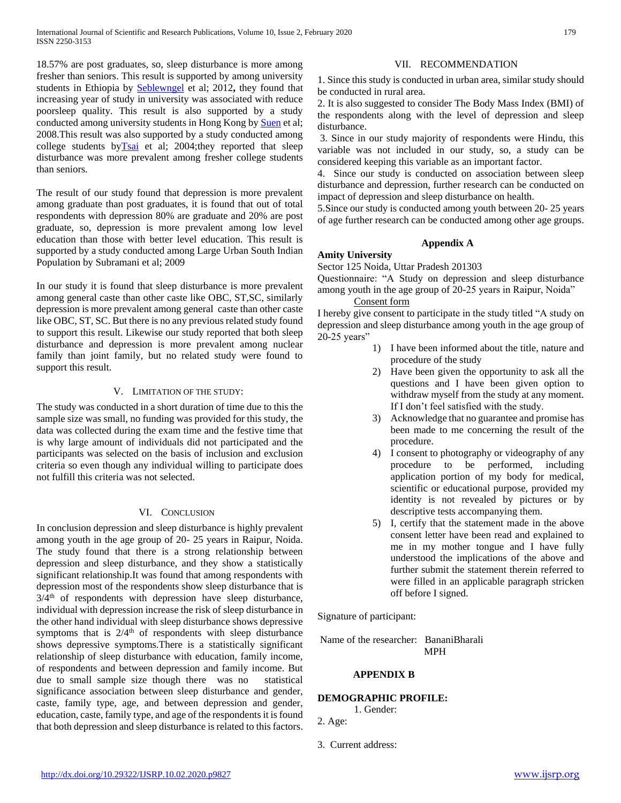18.57% are post graduates, so, sleep disturbance is more among fresher than seniors. This result is supported by among university students in Ethiopia by [Seblewngel](http://www.ncbi.nlm.nih.gov/pubmed/?term=Lemma%20S%5Bauth%5D) et al; 2012**,** they found that increasing year of study in university was associated with reduce poorsleep quality. This result is also supported by a study conducted among university students in Hong Kong by [Suen](http://www.ncbi.nlm.nih.gov/pubmed/?term=Suen%20LK%5BAuthor%5D&cauthor=true&cauthor_uid=18780202) et al; 2008.This result was also supported by a study conducted among college students by $\overline{Tsai}$  et al; 2004;they reported that sleep disturbance was more prevalent among fresher college students than seniors.

The result of our study found that depression is more prevalent among graduate than post graduates, it is found that out of total respondents with depression 80% are graduate and 20% are post graduate, so, depression is more prevalent among low level education than those with better level education. This result is supported by a study conducted among Large Urban South Indian Population by Subramani et al; 2009

In our study it is found that sleep disturbance is more prevalent among general caste than other caste like OBC, ST,SC, similarly depression is more prevalent among general caste than other caste like OBC, ST, SC. But there is no any previous related study found to support this result. Likewise our study reported that both sleep disturbance and depression is more prevalent among nuclear family than joint family, but no related study were found to support this result.

#### V. LIMITATION OF THE STUDY:

The study was conducted in a short duration of time due to this the sample size was small, no funding was provided for this study, the data was collected during the exam time and the festive time that is why large amount of individuals did not participated and the participants was selected on the basis of inclusion and exclusion criteria so even though any individual willing to participate does not fulfill this criteria was not selected.

#### VI. CONCLUSION

In conclusion depression and sleep disturbance is highly prevalent among youth in the age group of 20- 25 years in Raipur, Noida. The study found that there is a strong relationship between depression and sleep disturbance, and they show a statistically significant relationship.It was found that among respondents with depression most of the respondents show sleep disturbance that is  $3/4<sup>th</sup>$  of respondents with depression have sleep disturbance, individual with depression increase the risk of sleep disturbance in the other hand individual with sleep disturbance shows depressive symptoms that is  $2/4<sup>th</sup>$  of respondents with sleep disturbance shows depressive symptoms.There is a statistically significant relationship of sleep disturbance with education, family income, of respondents and between depression and family income. But due to small sample size though there was no statistical significance association between sleep disturbance and gender, caste, family type, age, and between depression and gender, education, caste, family type, and age of the respondents it is found that both depression and sleep disturbance is related to this factors.

#### VII. RECOMMENDATION

1. Since this study is conducted in urban area, similar study should be conducted in rural area.

2. It is also suggested to consider The Body Mass Index (BMI) of the respondents along with the level of depression and sleep disturbance.

3. Since in our study majority of respondents were Hindu, this variable was not included in our study, so, a study can be considered keeping this variable as an important factor.

4. Since our study is conducted on association between sleep disturbance and depression, further research can be conducted on impact of depression and sleep disturbance on health.

5.Since our study is conducted among youth between 20- 25 years of age further research can be conducted among other age groups.

#### **Appendix A**

# **Amity University**

Sector 125 Noida, Uttar Pradesh 201303

Questionnaire: "A Study on depression and sleep disturbance among youth in the age group of 20-25 years in Raipur, Noida"

Consent form

I hereby give consent to participate in the study titled "A study on depression and sleep disturbance among youth in the age group of 20-25 years"

- 1) I have been informed about the title, nature and procedure of the study
- 2) Have been given the opportunity to ask all the questions and I have been given option to withdraw myself from the study at any moment. If I don't feel satisfied with the study.
- 3) Acknowledge that no guarantee and promise has been made to me concerning the result of the procedure.
- 4) I consent to photography or videography of any procedure to be performed, including application portion of my body for medical, scientific or educational purpose, provided my identity is not revealed by pictures or by descriptive tests accompanying them.
- 5) I, certify that the statement made in the above consent letter have been read and explained to me in my mother tongue and I have fully understood the implications of the above and further submit the statement therein referred to were filled in an applicable paragraph stricken off before I signed.

Signature of participant:

Name of the researcher: BananiBharali MPH

# **APPENDIX B**

#### **DEMOGRAPHIC PROFILE:**

1. Gender:

2. Age:

3. Current address: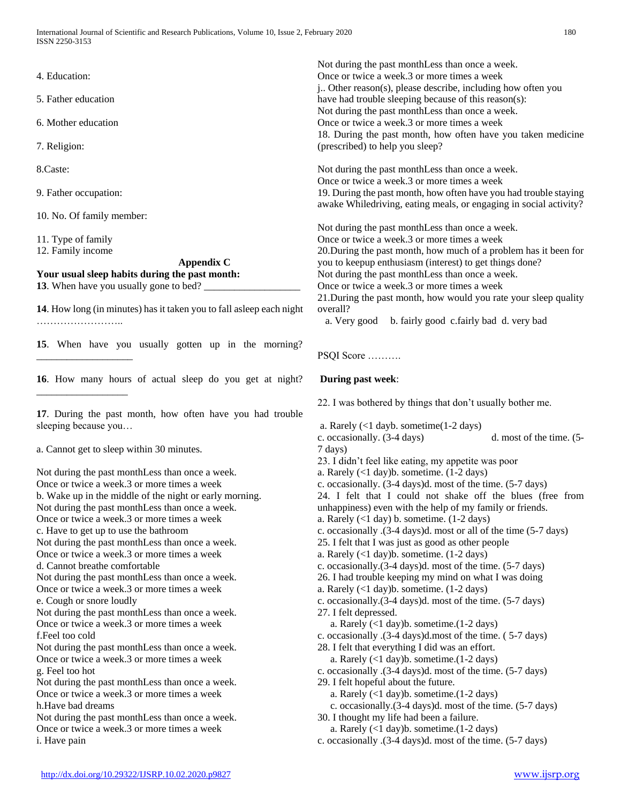- 4. Education:
- 5. Father education
- 6. Mother education
- 7. Religion:
- 8.Caste:
- 9. Father occupation:
- 10. No. Of family member:
- 11. Type of family

\_\_\_\_\_\_\_\_\_\_\_\_\_\_\_\_\_\_\_

\_\_\_\_\_\_\_\_\_\_\_\_\_\_\_\_\_\_

12. Family income

#### **Appendix C Your usual sleep habits during the past month:**

**13**. When have you usually gone to bed?

**14**. How long (in minutes) has it taken you to fall asleep each night ………………………

**15**. When have you usually gotten up in the morning?

**16**. How many hours of actual sleep do you get at night?

**17**. During the past month, how often have you had trouble sleeping because you…

a. Cannot get to sleep within 30 minutes.

Not during the past monthLess than once a week. Once or twice a week.3 or more times a week b. Wake up in the middle of the night or early morning. Not during the past monthLess than once a week. Once or twice a week.3 or more times a week c. Have to get up to use the bathroom Not during the past monthLess than once a week. Once or twice a week.3 or more times a week d. Cannot breathe comfortable Not during the past monthLess than once a week. Once or twice a week.3 or more times a week e. Cough or snore loudly Not during the past monthLess than once a week. Once or twice a week.3 or more times a week f.Feel too cold Not during the past monthLess than once a week. Once or twice a week.3 or more times a week g. Feel too hot Not during the past monthLess than once a week. Once or twice a week.3 or more times a week h.Have bad dreams Not during the past monthLess than once a week. Once or twice a week.3 or more times a week i. Have pain

Not during the past monthLess than once a week. Once or twice a week.3 or more times a week j.. Other reason(s), please describe, including how often you have had trouble sleeping because of this reason(s): Not during the past monthLess than once a week. Once or twice a week.3 or more times a week 18. During the past month, how often have you taken medicine (prescribed) to help you sleep?

Not during the past monthLess than once a week. Once or twice a week.3 or more times a week 19. During the past month, how often have you had trouble staying awake Whiledriving, eating meals, or engaging in social activity?

Not during the past monthLess than once a week. Once or twice a week.3 or more times a week 20.During the past month, how much of a problem has it been for you to keepup enthusiasm (interest) to get things done? Not during the past monthLess than once a week. Once or twice a week.3 or more times a week 21.During the past month, how would you rate your sleep quality overall?

a. Very good b. fairly good c.fairly bad d. very bad

#### PSQI Score ……….

# **During past week**:

22. I was bothered by things that don't usually bother me.

- a. Rarely (<1 dayb. sometime(1-2 days)
- c. occasionally. (3-4 days) d. most of the time. (5- 7 days)
- 23. I didn't feel like eating, my appetite was poor
- a. Rarely (<1 day)b. sometime. (1-2 days)
- c. occasionally. (3-4 days)d. most of the time. (5-7 days)
- 24. I felt that I could not shake off the blues (free from unhappiness) even with the help of my family or friends.
- a. Rarely  $($ 1 day) b. sometime.  $(1-2 \text{ days})$

c. occasionally .(3-4 days)d. most or all of the time (5-7 days)

- 25. I felt that I was just as good as other people
- a. Rarely  $(<1 \text{ day})$ b. sometime.  $(1-2 \text{ days})$
- c. occasionally.(3-4 days)d. most of the time. (5-7 days)
- 26. I had trouble keeping my mind on what I was doing
- a. Rarely (<1 day)b. sometime. (1-2 days)
- c. occasionally.(3-4 days)d. most of the time. (5-7 days)
- 27. I felt depressed.
	- a. Rarely (<1 day)b. sometime.(1-2 days)
- c. occasionally .(3-4 days)d.most of the time. ( 5-7 days)
- 28. I felt that everything I did was an effort.
- a. Rarely (<1 day)b. sometime.(1-2 days)
- c. occasionally .(3-4 days)d. most of the time. (5-7 days)
- 29. I felt hopeful about the future.
	- a. Rarely (<1 day)b. sometime.(1-2 days)
	- c. occasionally.(3-4 days)d. most of the time. (5-7 days)
- 30. I thought my life had been a failure.
	- a. Rarely (<1 day)b. sometime.(1-2 days)
- c. occasionally .(3-4 days)d. most of the time. (5-7 days)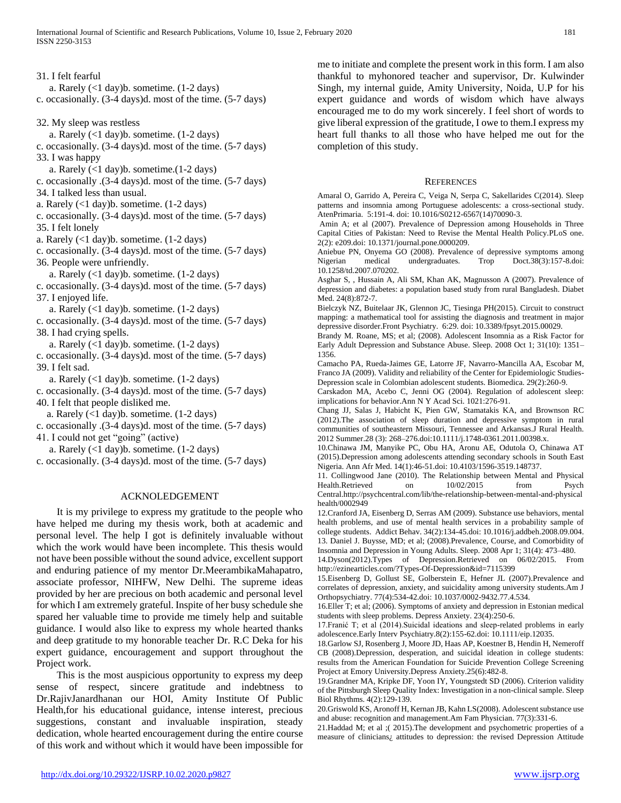31. I felt fearful a. Rarely  $(<1$  day)b. sometime.  $(1-2$  days) c. occasionally. (3-4 days)d. most of the time. (5-7 days) 32. My sleep was restless a. Rarely (<1 day)b. sometime. (1-2 days) c. occasionally. (3-4 days)d. most of the time. (5-7 days) 33. I was happy a. Rarely (<1 day)b. sometime.(1-2 days) c. occasionally .(3-4 days)d. most of the time. (5-7 days) 34. I talked less than usual. a. Rarely  $(1$  day)b. sometime.  $(1-2$  days) c. occasionally. (3-4 days)d. most of the time. (5-7 days) 35. I felt lonely a. Rarely (<1 day)b. sometime. (1-2 days) c. occasionally. (3-4 days)d. most of the time. (5-7 days) 36. People were unfriendly. a. Rarely  $(<1 \text{ day})$ b. sometime.  $(1-2 \text{ days})$ c. occasionally. (3-4 days)d. most of the time. (5-7 days) 37. I enjoyed life. a. Rarely  $(1$  day)b. sometime.  $(1-2 \text{ days})$ c. occasionally. (3-4 days)d. most of the time. (5-7 days) 38. I had crying spells. a. Rarely  $(<1 \text{ day})$ b. sometime.  $(1-2 \text{ days})$ c. occasionally. (3-4 days)d. most of the time. (5-7 days) 39. I felt sad. a. Rarely  $(1$  day)b. sometime.  $(1-2$  days) c. occasionally. (3-4 days)d. most of the time. (5-7 days) 40. I felt that people disliked me. a. Rarely  $(<1 \text{ day})$ b. sometime.  $(1-2 \text{ days})$ c. occasionally .(3-4 days)d. most of the time. (5-7 days) 41. I could not get "going" (active)

a. Rarely  $(<1 \text{ day})$ b. sometime.  $(1-2 \text{ days})$ c. occasionally. (3-4 days)d. most of the time. (5-7 days)

#### ACKNOLEDGEMENT

 It is my privilege to express my gratitude to the people who have helped me during my thesis work, both at academic and personal level. The help I got is definitely invaluable without which the work would have been incomplete. This thesis would not have been possible without the sound advice, excellent support and enduring patience of my mentor Dr.MeerambikaMahapatro, associate professor, NIHFW, New Delhi. The supreme ideas provided by her are precious on both academic and personal level for which I am extremely grateful. Inspite of her busy schedule she spared her valuable time to provide me timely help and suitable guidance. I would also like to express my whole hearted thanks and deep gratitude to my honorable teacher Dr. R.C Deka for his expert guidance, encouragement and support throughout the Project work.

 This is the most auspicious opportunity to express my deep sense of respect, sincere gratitude and indebtness to Dr.RajivJanardhanan our HOI, Amity Institute Of Public Health,for his educational guidance, intense interest, precious suggestions, constant and invaluable inspiration, steady dedication, whole hearted encouragement during the entire course of this work and without which it would have been impossible for

me to initiate and complete the present work in this form. I am also thankful to myhonored teacher and supervisor, Dr. Kulwinder Singh, my internal guide, Amity University, Noida, U.P for his expert guidance and words of wisdom which have always encouraged me to do my work sincerely. I feel short of words to give liberal expression of the gratitude, I owe to them.I express my heart full thanks to all those who have helped me out for the completion of this study.

#### **REFERENCES**

Amaral O, Garrido A, Pereira C, Veiga N, Serpa C, Sakellarides C(2014). Sleep patterns and insomnia among Portuguese adolescents: a cross-sectional study. AtenPrimaria. 5:191-4. doi: 10.1016/S0212-6567(14)70090-3.

Amin A; et al (2007). Prevalence of Depression among Households in Three Capital Cities of Pakistan: Need to Revise the Mental Health Policy.PLoS one. 2(2): e209.doi: 10.1371/journal.pone.0000209.

Aniebue PN, Onyema GO (2008). Prevalence of depressive symptoms among Nigerian medical undergraduates. Trop Doct.38(3):157-8.doi: 10.1258/td.2007.070202.

Asghar S, , Hussain A, Ali SM, Khan AK, Magnusson A (2007). Prevalence of depression and diabetes: a population based study from rural Bangladesh. Diabet Med. 24(8):872-7.

Bielczyk NZ, Buitelaar JK, Glennon JC, Tiesinga PH(2015). Circuit to construct mapping: a mathematical tool for assisting the diagnosis and treatment in major depressive disorder.Front Psychiatry. 6:29. doi: 10.3389/fpsyt.2015.00029.

Brandy M. Roane, MS; et al; (2008). Adolescent Insomnia as a Risk Factor for Early Adult Depression and Substance Abuse. Sleep. 2008 Oct 1; 31(10): 1351– 1356.

Camacho PA, Rueda-Jaimes GE, Latorre JF, Navarro-Mancilla AA, Escobar M, Franco JA (2009). Validity and reliability of the Center for Epidemiologic Studies-Depression scale in Colombian adolescent students. Biomedica. 29(2):260-9.

Carskadon MA, Acebo C, Jenni OG (2004). Regulation of adolescent sleep: implications for behavior.Ann N Y Acad Sci. 1021:276-91.

Chang JJ, Salas J, Habicht K, Pien GW, Stamatakis KA, and Brownson RC (2012).The association of sleep duration and depressive symptom in rural communities of southeastern Missouri, Tennessee and Arkansas.J Rural Health. 2012 Summer.28 (3): 268–276.doi:10.1111/j.1748-0361.2011.00398.x.

10.Chinawa JM, Manyike PC, Obu HA, Aronu AE, Odutola O, Chinawa AT (2015).Depression among adolescents attending secondary schools in South East Nigeria. Ann Afr Med. 14(1):46-51.doi: 10.4103/1596-3519.148737.

11. Collingwood Jane (2010). The Relationship between Mental and Physical Health.Retrieved on 10/02/2015 from Psych Health.Retrieved on 10/02/2015 from Psych Central.http://psychcentral.com/lib/the-relationship-between-mental-and-physical health/0002949

12.Cranford JA, Eisenberg D, Serras AM (2009). Substance use behaviors, mental health problems, and use of mental health services in a probability sample of college students. Addict Behav. 34(2):134-45.doi: 10.1016/j.addbeh.2008.09.004. 13. Daniel J. Buysse, MD; et al; (2008).Prevalence, Course, and Comorbidity of

Insomnia and Depression in Young Adults. Sleep. 2008 Apr 1; 31(4): 473–480. 14.Dyson(2012).Types of Depression.Retrieved on 06/02/2015. From http://ezinearticles.com/?Types-Of-Depression&id=7115399

15.Eisenberg D, Gollust SE, Golberstein E, Hefner JL (2007).Prevalence and correlates of depression, anxiety, and suicidality among university students.Am J Orthopsychiatry. 77(4):534-42.doi: 10.1037/0002-9432.77.4.534.

16.Eller T; et al; (2006). Symptoms of anxiety and depression in Estonian medical students with sleep problems. Depress Anxiety. 23(4):250-6.

17.Franić T; et al (2014).Suicidal ideations and sleep-related problems in early adolescence.Early Interv Psychiatry.8(2):155-62.doi: 10.1111/eip.12035.

18.Garlow SJ, Rosenberg J, Moore JD, Haas AP, Koestner B, Hendin H, Nemeroff CB (2008).Depression, desperation, and suicidal ideation in college students: results from the American Foundation for Suicide Prevention College Screening Project at Emory University.Depress Anxiety.25(6):482-8.

19.Grandner MA, Kripke DF, Yoon IY, Youngstedt SD (2006). Criterion validity of the Pittsburgh Sleep Quality Index: Investigation in a non-clinical sample. Sleep Biol Rhythms. 4(2):129-139.

20.Griswold KS, Aronoff H, Kernan JB, Kahn LS(2008). Adolescent substance use and abuse: recognition and management.Am Fam Physician. 77(3):331-6.

21.Haddad M; et al ;( 2015).The development and psychometric properties of a measure of clinicians¿ attitudes to depression: the revised Depression Attitude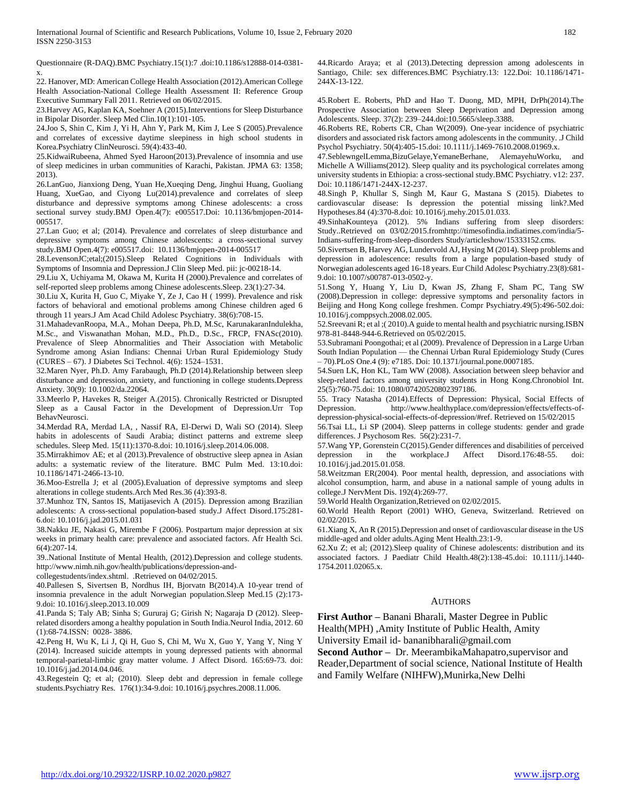Questionnaire (R-DAQ).BMC Psychiatry.15(1):7 .doi:10.1186/s12888-014-0381 x.

22. Hanover, MD: American College Health Association (2012).American College Health Association-National College Health Assessment II: Reference Group Executive Summary Fall 2011. Retrieved on 06/02/2015.

23.Harvey AG, Kaplan KA, Soehner A (2015).Interventions for Sleep Disturbance in Bipolar Disorder. Sleep Med Clin.10(1):101-105.

24.Joo S, Shin C, Kim J, Yi H, Ahn Y, Park M, Kim J, Lee S (2005).Prevalence and correlates of excessive daytime sleepiness in high school students in Korea.Psychiatry ClinNeurosci. 59(4):433-40.

25.KidwaiRubeena, Ahmed Syed Haroon(2013).Prevalence of insomnia and use of sleep medicines in urban communities of Karachi, Pakistan. JPMA 63: 1358; 2013).

26.LanGuo, Jianxiong Deng, Yuan He,Xueqing Deng, Jinghui Huang, Guoliang Huang, XueGao, and Ciyong Lu(2014).prevalence and correlates of sleep disturbance and depressive symptoms among Chinese adolescents: a cross sectional survey study.BMJ Open.4(7): e005517.Doi: 10.1136/bmjopen-2014- 005517.

27.Lan Guo; et al; (2014). Prevalence and correlates of sleep disturbance and depressive symptoms among Chinese adolescents: a cross-sectional survey study.BMJ Open.4(7): e005517.doi: 10.1136/bmjopen-2014-005517

28.LevensonJC;etal;(2015).Sleep Related Cognitions in Individuals with Symptoms of Insomnia and Depression.J Clin Sleep Med. pii: jc-00218-14.

29.Liu X, Uchiyama M, Okawa M, Kurita H (2000).Prevalence and correlates of self-reported sleep problems among Chinese adolescents.Sleep. 23(1):27-34.

30.Liu X, Kurita H, Guo C, Miyake Y, Ze J, Cao H ( 1999). Prevalence and risk factors of behavioral and emotional problems among Chinese children aged 6 through 11 years.J Am Acad Child Adolesc Psychiatry. 38(6):708-15.

31.MahadevanRoopa, M.A., Mohan Deepa, Ph.D, M.Sc, KarunakaranIndulekha, M.Sc., and Viswanathan Mohan, M.D., Ph.D., D.Sc., FRCP, FNASc(2010). Prevalence of Sleep Abnormalities and Their Association with Metabolic Syndrome among Asian Indians: Chennai Urban Rural Epidemiology Study (CURES – 67). J Diabetes Sci Technol. 4(6): 1524–1531.

32.Maren Nyer, Ph.D. Amy Farabaugh, Ph.D (2014).Relationship between sleep disturbance and depression, anxiety, and functioning in college students.Depress Anxiety. 30(9): 10.1002/da.22064.

33.Meerlo P, Havekes R, Steiger A.(2015). Chronically Restricted or Disrupted Sleep as a Causal Factor in the Development of Depression.Urr Top BehavNeurosci.

34.Merdad RA, Merdad LA, , Nassif RA, El-Derwi D, Wali SO (2014). Sleep habits in adolescents of Saudi Arabia; distinct patterns and extreme sleep schedules. Sleep Med. 15(11):1370-8.doi: 10.1016/j.sleep.2014.06.008.

35.Mirrakhimov AE; et al (2013).Prevalence of obstructive sleep apnea in Asian adults: a systematic review of the literature. BMC Pulm Med. 13:10.doi: 10.1186/1471-2466-13-10.

36.Moo-Estrella J; et al (2005).Evaluation of depressive symptoms and sleep alterations in college students.Arch Med Res.36 (4):393-8.

37.Munhoz TN, Santos IS, Matijasevich A (2015). Depression among Brazilian adolescents: A cross-sectional population-based study.J Affect Disord.175:281- 6.doi: 10.1016/j.jad.2015.01.031

38.Nakku JE, Nakasi G, Mirembe F (2006). Postpartum major depression at six weeks in primary health care: prevalence and associated factors. Afr Health Sci. 6(4):207-14.

39..National Institute of Mental Health, (2012).Depression and college students. http://www.nimh.nih.gov/health/publications/depression-and-

collegestudents/index.shtml. .Retrieved on 04/02/2015.

40.Pallesen S, Sivertsen B, Nordhus IH, Bjorvatn B(2014).A 10-year trend of insomnia prevalence in the adult Norwegian population.Sleep Med.15 (2):173- 9.doi: 10.1016/j.sleep.2013.10.009

41.Panda S; Taly AB; Sinha S; Gururaj G; Girish N; Nagaraja D (2012). Sleeprelated disorders among a healthy population in South India.Neurol India, 2012. 60 (1):68-74.ISSN: 0028- 3886.

42.Peng H, Wu K, Li J, Qi H, Guo S, Chi M, Wu X, Guo Y, Yang Y, Ning Y (2014). Increased suicide attempts in young depressed patients with abnormal temporal-parietal-limbic gray matter volume. J Affect Disord. 165:69-73. doi: 10.1016/j.jad.2014.04.046.

43.Regestein Q; et al; (2010). Sleep debt and depression in female college students.Psychiatry Res. 176(1):34-9.doi: 10.1016/j.psychres.2008.11.006.

44.Ricardo Araya; et al (2013).Detecting depression among adolescents in Santiago, Chile: sex differences.BMC Psychiatry.13: 122.Doi: 10.1186/1471- 244X-13-122.

45.Robert E. Roberts, PhD and Hao T. Duong, MD, MPH, DrPh(2014).The Prospective Association between Sleep Deprivation and Depression among Adolescents. Sleep. 37(2): 239–244.doi:10.5665/sleep.3388.

46.Roberts RE, Roberts CR, Chan W(2009). One-year incidence of psychiatric disorders and associated risk factors among adolescents in the community. .J Child Psychol Psychiatry. 50(4):405-15.doi: 10.1111/j.1469-7610.2008.01969.x.

47.SeblewngelLemma,BizuGelaye,YemaneBerhane, AlemayehuWorku, and Michelle A Williams(2012). Sleep quality and its psychological correlates among university students in Ethiopia: a cross-sectional study.BMC Psychiatry. v12: 237. Doi: 10.1186/1471-244X-12-237.

48.Singh P, Khullar S, Singh M, Kaur G, Mastana S (2015). Diabetes to cardiovascular disease: Is depression the potential missing link?.Med Hypotheses.84 (4):370-8.doi: 10.1016/j.mehy.2015.01.033.

49.SinhaKounteya (2012). 5% Indians suffering from sleep disorders: Study..Retrieved on 03/02/2015.fromhttp://timesofindia.indiatimes.com/india/5- Indians-suffering-from-sleep-disorders Study/articleshow/15333152.cms.

50.Sivertsen B, Harvey AG, Lundervold AJ, Hysing M (2014). Sleep problems and depression in adolescence: results from a large population-based study of Norwegian adolescents aged 16-18 years. Eur Child Adolesc Psychiatry.23(8):681- 9.doi: 10.1007/s00787-013-0502-y.

51.Song Y, Huang Y, Liu D, Kwan JS, Zhang F, Sham PC, Tang SW (2008).Depression in college: depressive symptoms and personality factors in Beijing and Hong Kong college freshmen. Compr Psychiatry.49(5):496-502.doi: 10.1016/j.comppsych.2008.02.005.

52.Sreevani R; et al ;( 2010).A guide to mental health and psychiatric nursing.ISBN 978-81-8448-944-6.Retrieved on 05/02/2015.

53.Subramani Poongothai; et al (2009). Prevalence of Depression in a Large Urban South Indian Population — the Chennai Urban Rural Epidemiology Study (Cures – 70).PLoS One.4 (9): e7185. Doi: 10.1371/journal.pone.0007185.

54.Suen LK, Hon KL, Tam WW (2008). Association between sleep behavior and sleep-related factors among university students in Hong Kong.Chronobiol Int. 25(5):760-75.doi: 10.1080/07420520802397186.

55. Tracy Natasha (2014).Effects of Depression: Physical, Social Effects of Depression. http://www.healthyplace.com/depression/effects/effects-of-

depression-physical-social-effects-of-depression/#ref. Retrieved on 15/02/2015 56.Tsai LL, Li SP (2004). Sleep patterns in college students: gender and grade differences. J Psychosom Res. 56(2):231-7.

57.Wang YP, Gorenstein C(2015).Gender differences and disabilities of perceived depression in the workplace.J Affect Disord.176:48-55. doi: 10.1016/j.jad.2015.01.058.

58.Weitzman ER(2004). Poor mental health, depression, and associations with alcohol consumption, harm, and abuse in a national sample of young adults in college.J NervMent Dis. 192(4):269-77.

59.World Health Organization,Retrieved on 02/02/2015.

60.World Health Report (2001) WHO, Geneva, Switzerland. Retrieved on 02/02/2015.

61.Xiang X, An R (2015).Depression and onset of cardiovascular disease in the US middle-aged and older adults.Aging Ment Health.23:1-9.

62.Xu Z; et al; (2012).Sleep quality of Chinese adolescents: distribution and its associated factors. J Paediatr Child Health.48(2):138-45.doi: 10.1111/j.1440- 1754.2011.02065.x.

#### AUTHORS

**First Author –** Banani Bharali, Master Degree in Public Health(MPH) ,Amity Institute of Public Health, Amity University Email id- bananibharali@gmail.com

**Second Author –** Dr. MeerambikaMahapatro,supervisor and Reader,Department of social science, National Institute of Health and Family Welfare (NIHFW),Munirka,New Delhi